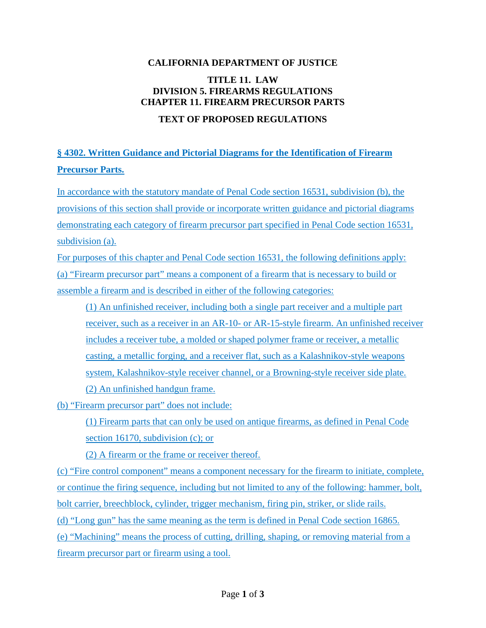## **CALIFORNIA DEPARTMENT OF JUSTICE**

## **TITLE 11. LAW DIVISION 5. FIREARMS REGULATIONS CHAPTER 11. FIREARM PRECURSOR PARTS**

## **TEXT OF PROPOSED REGULATIONS**

## **§ 4302. Written Guidance and Pictorial Diagrams for the Identification of Firearm Precursor Parts.**

In accordance with the statutory mandate of Penal Code section 16531, subdivision (b), the provisions of this section shall provide or incorporate written guidance and pictorial diagrams demonstrating each category of firearm precursor part specified in Penal Code section 16531, subdivision (a).

For purposes of this chapter and Penal Code section 16531, the following definitions apply: (a) "Firearm precursor part" means a component of a firearm that is necessary to build or assemble a firearm and is described in either of the following categories:

(1) An unfinished receiver, including both a single part receiver and a multiple part receiver, such as a receiver in an AR-10- or AR-15-style firearm. An unfinished receiver includes a receiver tube, a molded or shaped polymer frame or receiver, a metallic casting, a metallic forging, and a receiver flat, such as a Kalashnikov-style weapons system, Kalashnikov-style receiver channel, or a Browning-style receiver side plate. (2) An unfinished handgun frame.

(b) "Firearm precursor part" does not include:

(1) Firearm parts that can only be used on antique firearms, as defined in Penal Code section 16170, subdivision (c); or

(2) A firearm or the frame or receiver thereof.

(c) "Fire control component" means a component necessary for the firearm to initiate, complete, or continue the firing sequence, including but not limited to any of the following: hammer, bolt, bolt carrier, breechblock, cylinder, trigger mechanism, firing pin, striker, or slide rails. (d) "Long gun" has the same meaning as the term is defined in Penal Code section 16865. (e) "Machining" means the process of cutting, drilling, shaping, or removing material from a firearm precursor part or firearm using a tool.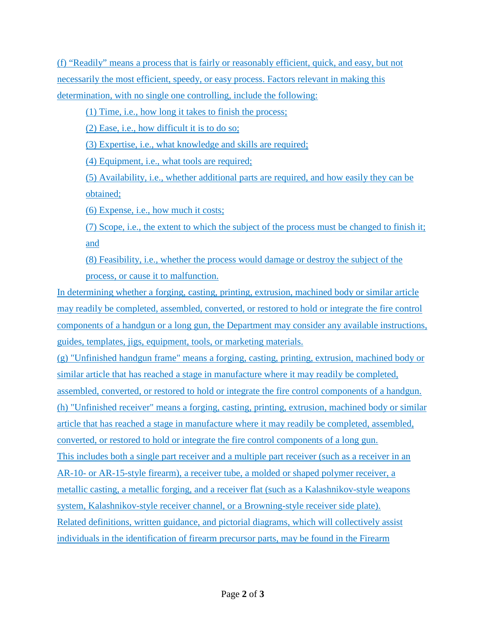(f) "Readily" means a process that is fairly or reasonably efficient, quick, and easy, but not necessarily the most efficient, speedy, or easy process. Factors relevant in making this determination, with no single one controlling, include the following:

(1) Time, i.e., how long it takes to finish the process;

(2) Ease, i.e., how difficult it is to do so;

(3) Expertise, i.e., what knowledge and skills are required;

(4) Equipment, i.e., what tools are required;

(5) Availability, i.e., whether additional parts are required, and how easily they can be obtained;

(6) Expense, i.e., how much it costs;

(7) Scope, i.e., the extent to which the subject of the process must be changed to finish it; and

(8) Feasibility, i.e., whether the process would damage or destroy the subject of the process, or cause it to malfunction.

In determining whether a forging, casting, printing, extrusion, machined body or similar article may readily be completed, assembled, converted, or restored to hold or integrate the fire control components of a handgun or a long gun, the Department may consider any available instructions, guides, templates, jigs, equipment, tools, or marketing materials.

(g) "Unfinished handgun frame" means a forging, casting, printing, extrusion, machined body or similar article that has reached a stage in manufacture where it may readily be completed, assembled, converted, or restored to hold or integrate the fire control components of a handgun. (h) "Unfinished receiver" means a forging, casting, printing, extrusion, machined body or similar article that has reached a stage in manufacture where it may readily be completed, assembled, converted, or restored to hold or integrate the fire control components of a long gun. This includes both a single part receiver and a multiple part receiver (such as a receiver in an AR-10- or AR-15-style firearm), a receiver tube, a molded or shaped polymer receiver, a metallic casting, a metallic forging, and a receiver flat (such as a Kalashnikov-style weapons system, Kalashnikov-style receiver channel, or a Browning-style receiver side plate). Related definitions, written guidance, and pictorial diagrams, which will collectively assist individuals in the identification of firearm precursor parts, may be found in the Firearm